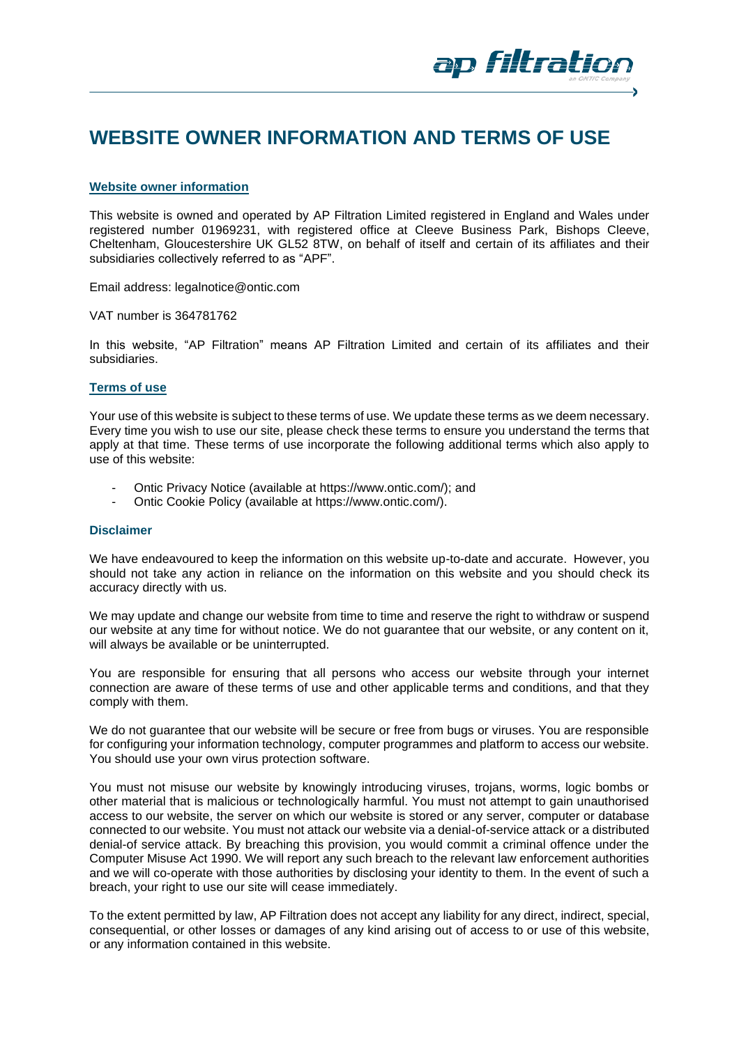

# **WEBSITE OWNER INFORMATION AND TERMS OF USE**

# **Website owner information**

This website is owned and operated by AP Filtration Limited registered in England and Wales under registered number 01969231, with registered office at Cleeve Business Park, Bishops Cleeve, Cheltenham, Gloucestershire UK GL52 8TW, on behalf of itself and certain of its affiliates and their subsidiaries collectively referred to as "APF".

Email address: legalnotice@ontic.com

VAT number is 364781762

In this website, "AP Filtration" means AP Filtration Limited and certain of its affiliates and their subsidiaries.

# **Terms of use**

Your use of this website is subject to these terms of use. We update these terms as we deem necessary. Every time you wish to use our site, please check these terms to ensure you understand the terms that apply at that time. These terms of use incorporate the following additional terms which also apply to use of this website:

- Ontic Privacy Notice (available at https://www.ontic.com/); and
- Ontic Cookie Policy (available at https://www.ontic.com/).

### **Disclaimer**

We have endeavoured to keep the information on this website up-to-date and accurate. However, you should not take any action in reliance on the information on this website and you should check its accuracy directly with us.

We may update and change our website from time to time and reserve the right to withdraw or suspend our website at any time for without notice. We do not guarantee that our website, or any content on it, will always be available or be uninterrupted.

You are responsible for ensuring that all persons who access our website through your internet connection are aware of these terms of use and other applicable terms and conditions, and that they comply with them.

We do not quarantee that our website will be secure or free from bugs or viruses. You are responsible for configuring your information technology, computer programmes and platform to access our website. You should use your own virus protection software.

You must not misuse our website by knowingly introducing viruses, trojans, worms, logic bombs or other material that is malicious or technologically harmful. You must not attempt to gain unauthorised access to our website, the server on which our website is stored or any server, computer or database connected to our website. You must not attack our website via a denial-of-service attack or a distributed denial-of service attack. By breaching this provision, you would commit a criminal offence under the Computer Misuse Act 1990. We will report any such breach to the relevant law enforcement authorities and we will co-operate with those authorities by disclosing your identity to them. In the event of such a breach, your right to use our site will cease immediately.

To the extent permitted by law, AP Filtration does not accept any liability for any direct, indirect, special, consequential, or other losses or damages of any kind arising out of access to or use of this website, or any information contained in this website.